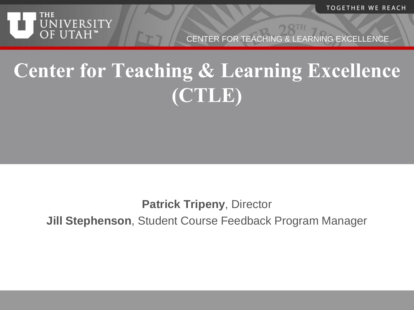



#### **Center for Teaching & Learning Excellence (CTLE)**

#### **Patrick Tripeny**, Director **Jill Stephenson**, Student Course Feedback Program Manager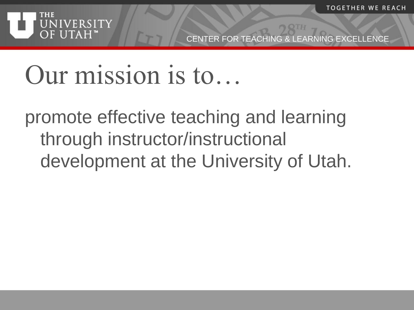

### Our mission is to…

promote effective teaching and learning through instructor/instructional development at the University of Utah.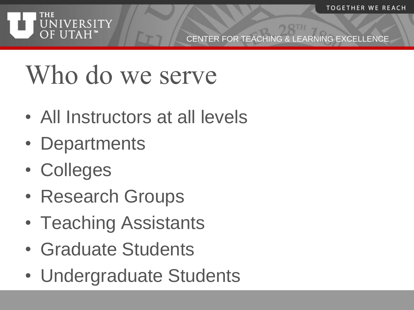

## Who do we serve

- All Instructors at all levels
- Departments
- Colleges
- Research Groups
- Teaching Assistants
- Graduate Students
- Undergraduate Students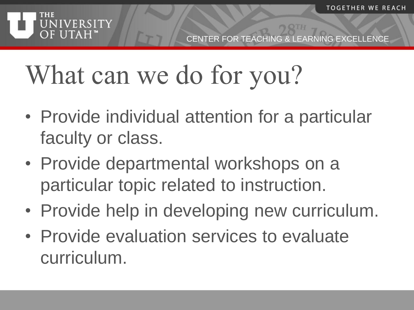

## What can we do for you?

- Provide individual attention for a particular faculty or class.
- Provide departmental workshops on a particular topic related to instruction.
- Provide help in developing new curriculum.
- Provide evaluation services to evaluate curriculum.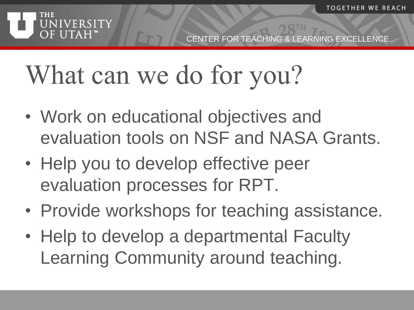

## What can we do for you?

- Work on educational objectives and evaluation tools on NSF and NASA Grants.
- Help you to develop effective peer evaluation processes for RPT.
- Provide workshops for teaching assistance.
- Help to develop a departmental Faculty Learning Community around teaching.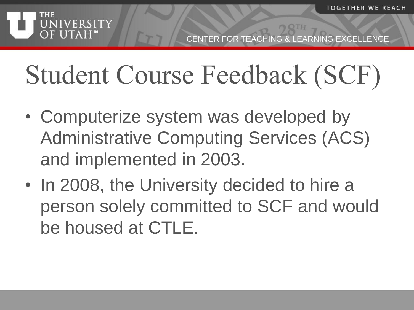

## Student Course Feedback (SCF)

- Computerize system was developed by Administrative Computing Services (ACS) and implemented in 2003.
- In 2008, the University decided to hire a person solely committed to SCF and would be housed at CTLE.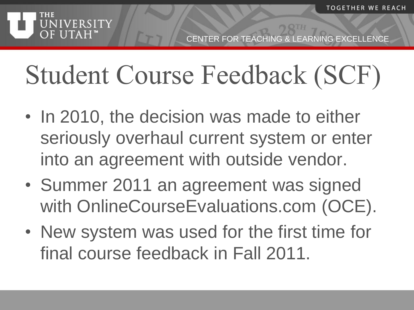

## Student Course Feedback (SCF)

- In 2010, the decision was made to either seriously overhaul current system or enter into an agreement with outside vendor.
- Summer 2011 an agreement was signed with OnlineCourseEvaluations.com (OCE).
- New system was used for the first time for final course feedback in Fall 2011.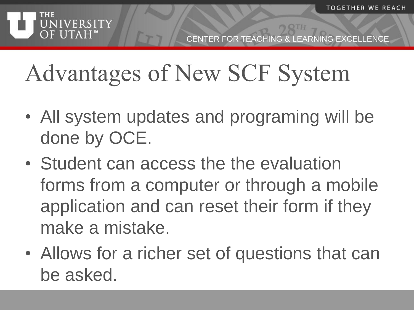

### Advantages of New SCF System

- All system updates and programing will be done by OCE.
- Student can access the the evaluation forms from a computer or through a mobile application and can reset their form if they make a mistake.
- Allows for a richer set of questions that can be asked.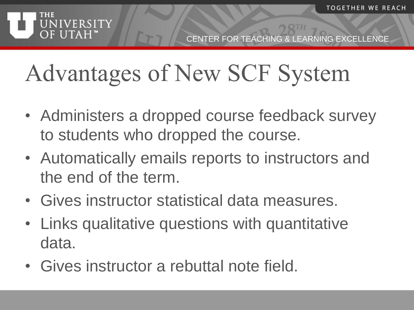

### Advantages of New SCF System

- Administers a dropped course feedback survey to students who dropped the course.
- Automatically emails reports to instructors and the end of the term.
- Gives instructor statistical data measures.
- Links qualitative questions with quantitative data.
- Gives instructor a rebuttal note field.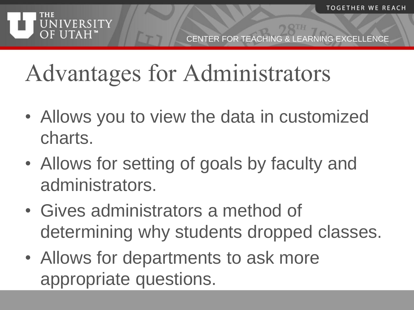

### Advantages for Administrators

- Allows you to view the data in customized charts.
- Allows for setting of goals by faculty and administrators.
- Gives administrators a method of determining why students dropped classes.
- Allows for departments to ask more appropriate questions.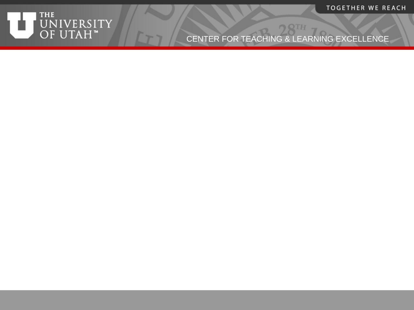



|<br>|CENTER FOR TEACHING & LEARNING EXCELLENCE <sub>|</sub>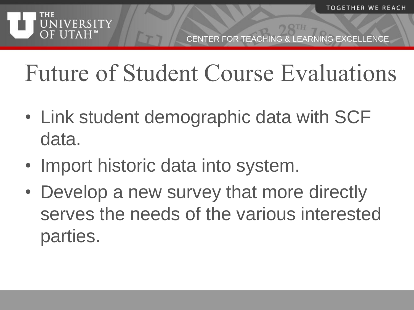

#### Future of Student Course Evaluations

- Link student demographic data with SCF data.
- Import historic data into system.
- Develop a new survey that more directly serves the needs of the various interested parties.